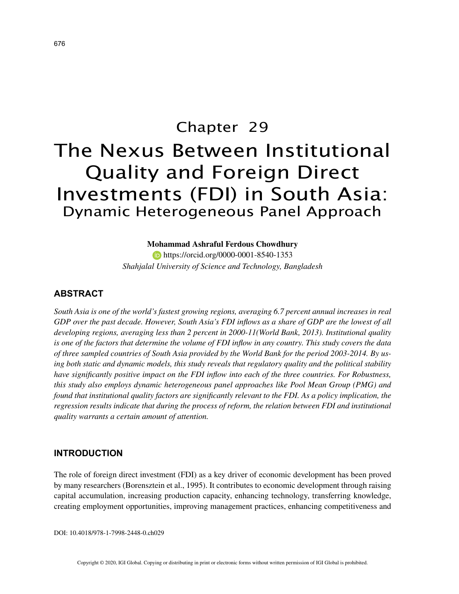# Chapter 29 The Nexus Between Institutional Quality and Foreign Direct Investments (FDI) in South Asia: Dynamic Heterogeneous Panel Approach

### **Mohammad Ashraful Ferdous Chowdhury**

**https://orcid.org/0000-0001-8540-1353** *Shahjalal University of Science and Technology, Bangladesh*

## **ABSTRACT**

*South Asia is one of the world's fastest growing regions, averaging 6.7 percent annual increases in real GDP over the past decade. However, South Asia's FDI inflows as a share of GDP are the lowest of all developing regions, averaging less than 2 percent in 2000-11(World Bank, 2013). Institutional quality is one of the factors that determine the volume of FDI inflow in any country. This study covers the data of three sampled countries of South Asia provided by the World Bank for the period 2003-2014. By using both static and dynamic models, this study reveals that regulatory quality and the political stability have significantly positive impact on the FDI inflow into each of the three countries. For Robustness, this study also employs dynamic heterogeneous panel approaches like Pool Mean Group (PMG) and found that institutional quality factors are significantly relevant to the FDI. As a policy implication, the regression results indicate that during the process of reform, the relation between FDI and institutional quality warrants a certain amount of attention.*

## **INTRODUCTION**

The role of foreign direct investment (FDI) as a key driver of economic development has been proved by many researchers (Borensztein et al., 1995). It contributes to economic development through raising capital accumulation, increasing production capacity, enhancing technology, transferring knowledge, creating employment opportunities, improving management practices, enhancing competitiveness and

DOI: 10.4018/978-1-7998-2448-0.ch029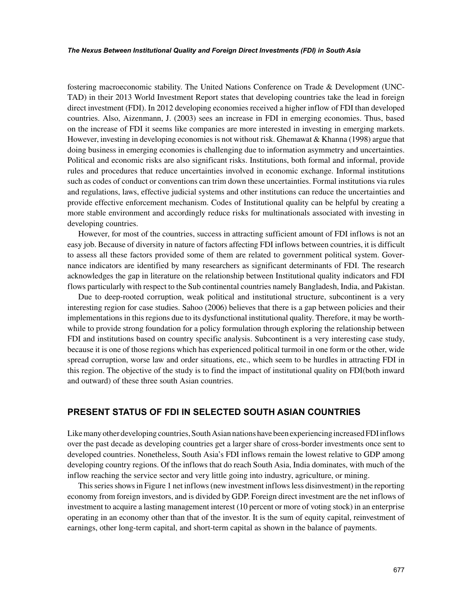#### *The Nexus Between Institutional Quality and Foreign Direct Investments (FDI) in South Asia*

fostering macroeconomic stability. The United Nations Conference on Trade & Development (UNC-TAD) in their 2013 World Investment Report states that developing countries take the lead in foreign direct investment (FDI). In 2012 developing economies received a higher inflow of FDI than developed countries. Also, Aizenmann, J. (2003) sees an increase in FDI in emerging economies. Thus, based on the increase of FDI it seems like companies are more interested in investing in emerging markets. However, investing in developing economies is not without risk. Ghemawat & Khanna (1998) argue that doing business in emerging economies is challenging due to information asymmetry and uncertainties. Political and economic risks are also significant risks. Institutions, both formal and informal, provide rules and procedures that reduce uncertainties involved in economic exchange. Informal institutions such as codes of conduct or conventions can trim down these uncertainties. Formal institutions via rules and regulations, laws, effective judicial systems and other institutions can reduce the uncertainties and provide effective enforcement mechanism. Codes of Institutional quality can be helpful by creating a more stable environment and accordingly reduce risks for multinationals associated with investing in developing countries.

However, for most of the countries, success in attracting sufficient amount of FDI inflows is not an easy job. Because of diversity in nature of factors affecting FDI inflows between countries, it is difficult to assess all these factors provided some of them are related to government political system. Governance indicators are identified by many researchers as significant determinants of FDI. The research acknowledges the gap in literature on the relationship between Institutional quality indicators and FDI flows particularly with respect to the Sub continental countries namely Bangladesh, India, and Pakistan.

Due to deep-rooted corruption, weak political and institutional structure, subcontinent is a very interesting region for case studies. Sahoo (2006) believes that there is a gap between policies and their implementations in this regions due to its dysfunctional institutional quality. Therefore, it may be worthwhile to provide strong foundation for a policy formulation through exploring the relationship between FDI and institutions based on country specific analysis. Subcontinent is a very interesting case study, because it is one of those regions which has experienced political turmoil in one form or the other, wide spread corruption, worse law and order situations, etc., which seem to be hurdles in attracting FDI in this region. The objective of the study is to find the impact of institutional quality on FDI(both inward and outward) of these three south Asian countries.

## **PRESENT STATUS OF FDI IN SELECTED SOUTH ASIAN COUNTRIES**

Like many other developing countries, South Asian nations have been experiencing increased FDI inflows over the past decade as developing countries get a larger share of cross-border investments once sent to developed countries. Nonetheless, South Asia's FDI inflows remain the lowest relative to GDP among developing country regions. Of the inflows that do reach South Asia, India dominates, with much of the inflow reaching the service sector and very little going into industry, agriculture, or mining.

This series shows in Figure 1 net inflows (new investment inflows less disinvestment) in the reporting economy from foreign investors, and is divided by GDP. Foreign direct investment are the net inflows of investment to acquire a lasting management interest (10 percent or more of voting stock) in an enterprise operating in an economy other than that of the investor. It is the sum of equity capital, reinvestment of earnings, other long-term capital, and short-term capital as shown in the balance of payments.